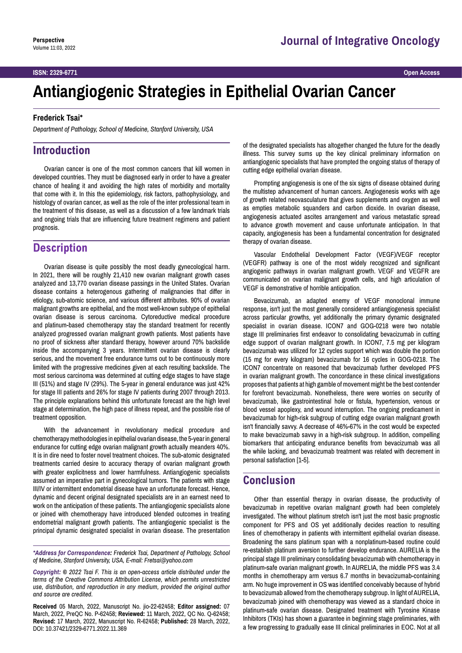#### **ISSN: 2329-6771 Open Access**

# **Antiangiogenic Strategies in Epithelial Ovarian Cancer**

#### **Frederick Tsai\***

*Department of Pathology, School of Medicine, Stanford University, USA*

## **Introduction**

Ovarian cancer is one of the most common cancers that kill women in developed countries. They must be diagnosed early in order to have a greater chance of healing it and avoiding the high rates of morbidity and mortality that come with it. In this the epidemiology, risk factors, pathophysiology, and histology of ovarian cancer, as well as the role of the inter professional team in the treatment of this disease, as well as a discussion of a few landmark trials and ongoing trials that are influencing future treatment regimens and patient prognosis.

# **Description**

Ovarian disease is quite possibly the most deadly gynecological harm. In 2021, there will be roughly 21,410 new ovarian malignant growth cases analyzed and 13,770 ovarian disease passings in the United States. Ovarian disease contains a heterogenous gathering of malignancies that differ in etiology, sub-atomic science, and various different attributes. 90% of ovarian malignant growths are epithelial, and the most well-known subtype of epithelial ovarian disease is serous carcinoma. Cytoreductive medical procedure and platinum-based chemotherapy stay the standard treatment for recently analyzed progressed ovarian malignant growth patients. Most patients have no proof of sickness after standard therapy, however around 70% backslide inside the accompanying 3 years. Intermittent ovarian disease is clearly serious, and the movement free endurance turns out to be continuously more limited with the progressive medicines given at each resulting backslide. The most serious carcinoma was determined at cutting edge stages to have stage III (51%) and stage IV (29%). The 5-year in general endurance was just 42% for stage III patients and 26% for stage IV patients during 2007 through 2013. The principle explanations behind this unfortunate forecast are the high level stage at determination, the high pace of illness repeat, and the possible rise of treatment opposition.

With the advancement in revolutionary medical procedure and chemotherapy methodologies in epithelial ovarian disease, the 5-year in general endurance for cutting edge ovarian malignant growth actually meanders 40%. It is in dire need to foster novel treatment choices. The sub-atomic designated treatments carried desire to accuracy therapy of ovarian malignant growth with greater explicitness and lower harmfulness. Antiangiogenic specialists assumed an imperative part in gynecological tumors. The patients with stage III/IV or intermittent endometrial disease have an unfortunate forecast. Hence, dynamic and decent original designated specialists are in an earnest need to work on the anticipation of these patients. The antiangiogenic specialists alone or joined with chemotherapy have introduced blended outcomes in treating endometrial malignant growth patients. The antiangiogenic specialist is the principal dynamic designated specialist in ovarian disease. The presentation

*\*Address for Correspondence: Frederick Tsai, Department of Pathology, School of Medicine, Stanford University, USA, E-mail: Fretsai@yahoo.com*

*Copyright: © 2022 Tsai F. This is an open-access article distributed under the terms of the Creative Commons Attribution License, which permits unrestricted use, distribution, and reproduction in any medium, provided the original author and source are credited.*

**Received** 05 March, 2022, Manuscript No. jio-22-62458; **Editor assigned:** 07 March, 2022, PreQC No. P-62458; **Reviewed:** 11 March, 2022, QC No. Q-62458; **Revised:** 17 March, 2022, Manuscript No. R-62458; **Published:** 28 March, 2022, DOI: 10.37421/2329-6771.2022.11.369

of the designated specialists has altogether changed the future for the deadly illness. This survey sums up the key clinical preliminary information on antiangiogenic specialists that have prompted the ongoing status of therapy of cutting edge epithelial ovarian disease.

Prompting angiogenesis is one of the six signs of disease obtained during the multistep advancement of human cancers. Angiogenesis works with age of growth related neovasculature that gives supplements and oxygen as well as empties metabolic squanders and carbon dioxide. In ovarian disease, angiogenesis actuated ascites arrangement and various metastatic spread to advance growth movement and cause unfortunate anticipation. In that capacity, angiogenesis has been a fundamental concentration for designated therapy of ovarian disease.

Vascular Endothelial Development Factor (VEGF)/VEGF receptor (VEGFR) pathway is one of the most widely recognized and significant angiogenic pathways in ovarian malignant growth. VEGF and VEGFR are communicated on ovarian malignant growth cells, and high articulation of VEGF is demonstrative of horrible anticipation.

Bevacizumab, an adapted enemy of VEGF monoclonal immune response, isn't just the most generally considered antiangiogenesis specialist across particular growths, yet additionally the primary dynamic designated specialist in ovarian disease. ICON7 and GOG-0218 were two notable stage III preliminaries first endeavor to consolidating bevacizumab in cutting edge support of ovarian malignant growth. In ICON7, 7.5 mg per kilogram bevacizumab was utilized for 12 cycles support which was double the portion (15 mg for every kilogram) bevacizumab for 16 cycles in GOG-0218. The ICON7 concentrate on reasoned that bevacizumab further developed PFS in ovarian malignant growth. The concordance in these clinical investigations proposes that patients at high gamble of movement might be the best contender for forefront bevacizumab. Nonetheless, there were worries on security of bevacizumab, like gastrointestinal hole or fistula, hypertension, venous or blood vessel apoplexy, and wound interruption. The ongoing predicament in bevacizumab for high-risk subgroup of cutting edge ovarian malignant growth isn't financially savvy. A decrease of 46%-67% in the cost would be expected to make bevacizumab savvy in a high-risk subgroup. In addition, compelling biomarkers that anticipating endurance benefits from bevacizumab was all the while lacking, and bevacizumab treatment was related with decrement in personal satisfaction [1-5].

### **Conclusion**

Other than essential therapy in ovarian disease, the productivity of bevacizumab in repetitive ovarian malignant growth had been completely investigated. The without platinum stretch isn't just the most basic prognostic component for PFS and OS yet additionally decides reaction to resulting lines of chemotherapy in patients with intermittent epithelial ovarian disease. Broadening the sans platinum span with a nonplatinum-based routine could re-establish platinum aversion to further develop endurance. AURELIA is the principal stage III preliminary consolidating bevacizumab with chemotherapy in platinum-safe ovarian malignant growth. In AURELIA, the middle PFS was 3.4 months in chemotherapy arm versus 6.7 months in bevacizumab-containing arm. No huge improvement in OS was identified conceivably because of hybrid to bevacizumab allowed from the chemotherapy subgroup. In light of AURELIA, bevacizumab joined with chemotherapy was viewed as a standard choice in platinum-safe ovarian disease. Designated treatment with Tyrosine Kinase Inhibitors (TKIs) has shown a guarantee in beginning stage preliminaries, with a few progressing to gradually ease III clinical preliminaries in EOC. Not at all